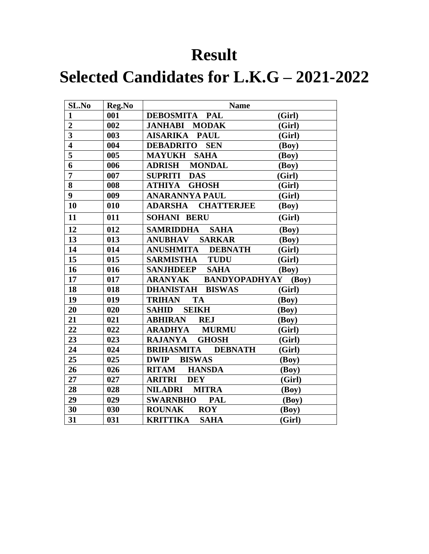#### **Result**

## **Selected Candidates for L.K.G – 2021-2022**

| SL.No                   | Reg.No | <b>Name</b>                         |        |
|-------------------------|--------|-------------------------------------|--------|
| $\mathbf{1}$            | 001    | <b>DEBOSMITA PAL</b>                | (Girl) |
| $\overline{2}$          | 002    | <b>JANHABI MODAK</b>                | (Girl) |
| $\overline{\mathbf{3}}$ | 003    | <b>AISARIKA</b><br><b>PAUL</b>      | (Girl) |
| $\overline{\mathbf{4}}$ | 004    | <b>SEN</b><br><b>DEBADRITO</b>      | (Boy)  |
| 5                       | 005    | <b>SAHA</b><br><b>MAYUKH</b>        | (Boy)  |
| 6                       | 006    | <b>ADRISH</b><br><b>MONDAL</b>      | (Boy)  |
| $\overline{7}$          | 007    | <b>SUPRITI</b><br><b>DAS</b>        | (Girl) |
| 8                       | 008    | <b>GHOSH</b><br>ATHIYA              | (Girl) |
| $\overline{9}$          | 009    | <b>ANARANNYA PAUL</b>               | (Girl) |
| 10                      | 010    | <b>ADARSHA</b><br><b>CHATTERJEE</b> | (Boy)  |
| 11                      | 011    | <b>SOHANI BERU</b>                  | (Girl) |
| 12                      | 012    | <b>SAMRIDDHA</b><br><b>SAHA</b>     | (Boy)  |
| 13                      | 013    | <b>SARKAR</b><br><b>ANUBHAV</b>     | (Boy)  |
| 14                      | 014    | <b>ANUSHMITA</b><br><b>DEBNATH</b>  | (Girl) |
| 15                      | 015    | <b>TUDU</b><br><b>SARMISTHA</b>     | (Girl) |
| 16                      | 016    | <b>SANJHDEEP</b><br><b>SAHA</b>     | (Boy)  |
| 17                      | 017    | <b>ARANYAK BANDYOPADHYAY (Boy)</b>  |        |
| 18                      | 018    | DHANISTAH BISWAS                    | (Girl) |
| 19                      | 019    | <b>TRIHAN</b><br><b>TA</b>          | (Boy)  |
| 20                      | 020    | <b>SEIKH</b><br><b>SAHID</b>        | (Boy)  |
| 21                      | 021    | <b>ABHIRAN</b><br><b>REJ</b>        | (Boy)  |
| 22                      | 022    | <b>ARADHYA</b><br><b>MURMU</b>      | (Girl) |
| 23                      | 023    | <b>GHOSH</b><br><b>RAJANYA</b>      | (Girl) |
| 24                      | 024    | <b>BRIHASMITA DEBNATH</b>           | (Girl) |
| 25                      | 025    | <b>DWIP</b><br><b>BISWAS</b>        | (Boy)  |
| 26                      | 026    | <b>RITAM</b><br><b>HANSDA</b>       | (Boy)  |
| 27                      | 027    | <b>ARITRI</b><br><b>DEY</b>         | (Girl) |
| 28                      | 028    | <b>NILADRI</b><br><b>MITRA</b>      | (Boy)  |
| 29                      | 029    | <b>SWARNBHO</b><br><b>PAL</b>       | (Boy)  |
| 30                      | 030    | <b>ROUNAK</b><br><b>ROY</b>         | (Boy)  |
| 31                      | 031    | <b>KRITTIKA</b><br><b>SAHA</b>      | (Girl) |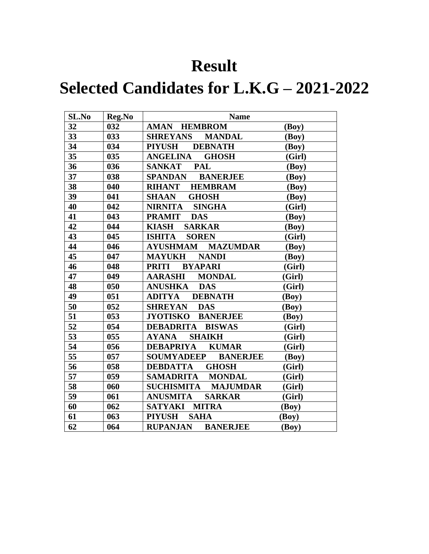### **Result**

## **Selected Candidates for L.K.G – 2021-2022**

| SL.No | Reg.No | <b>Name</b>                          |        |
|-------|--------|--------------------------------------|--------|
| 32    | 032    | <b>AMAN HEMBROM</b>                  | (Boy)  |
| 33    | 033    | <b>SHREYANS</b><br><b>MANDAL</b>     | (Boy)  |
| 34    | 034    | <b>PIYUSH</b><br><b>DEBNATH</b>      | (Boy)  |
| 35    | 035    | <b>ANGELINA</b><br><b>GHOSH</b>      | (Girl) |
| 36    | 036    | <b>PAL</b><br><b>SANKAT</b>          | (Boy)  |
| 37    | 038    | <b>BANERJEE</b><br><b>SPANDAN</b>    | (Boy)  |
| 38    | 040    | <b>RIHANT</b><br><b>HEMBRAM</b>      | (Boy)  |
| 39    | 041    | <b>SHAAN</b><br><b>GHOSH</b>         | (Boy)  |
| 40    | 042    | NIRNITA SINGHA                       | (Girl) |
| 41    | 043    | <b>PRAMIT</b><br><b>DAS</b>          | (Boy)  |
| 42    | 044    | <b>KIASH</b><br><b>SARKAR</b>        | (Boy)  |
| 43    | 045    | <b>ISHITA</b><br><b>SOREN</b>        | (Girl) |
| 44    | 046    | <b>AYUSHMAM</b><br><b>MAZUMDAR</b>   | (Boy)  |
| 45    | 047    | <b>MAYUKH</b><br><b>NANDI</b>        | (Boy)  |
| 46    | 048    | <b>PRITI</b><br><b>BYAPARI</b>       | (Girl) |
| 47    | 049    | <b>AARASHI</b><br><b>MONDAL</b>      | (Girl) |
| 48    | 050    | <b>ANUSHKA</b><br><b>DAS</b>         | (Girl) |
| 49    | 051    | <b>ADITYA</b><br><b>DEBNATH</b>      | (Boy)  |
| 50    | 052    | SHREYAN DAS                          | (Boy)  |
| 51    | 053    | <b>BANERJEE</b><br><b>JYOTISKO</b>   | (Boy)  |
| 52    | 054    | <b>DEBADRITA</b><br><b>BISWAS</b>    | (Girl) |
| 53    | 055    | <b>SHAIKH</b><br><b>AYANA</b>        | (Girl) |
| 54    | 056    | DEBAPRIYA KUMAR                      | (Girl) |
| 55    | 057    | <b>SOUMYADEEP</b><br><b>BANERJEE</b> | (Boy)  |
| 56    | 058    | <b>DEBDATTA</b><br><b>GHOSH</b>      | (Girl) |
| 57    | 059    | <b>SAMADRITA</b><br><b>MONDAL</b>    | (Girl) |
| 58    | 060    | SUCHISMITA MAJUMDAR                  | (Girl) |
| 59    | 061    | <b>ANUSMITA</b><br><b>SARKAR</b>     | (Girl) |
| 60    | 062    | <b>MITRA</b><br>SATYAKI              | (Boy)  |
| 61    | 063    | <b>PIYUSH</b><br><b>SAHA</b>         | (Boy)  |
| 62    | 064    | <b>RUPANJAN BANERJEE</b>             | (Boy)  |